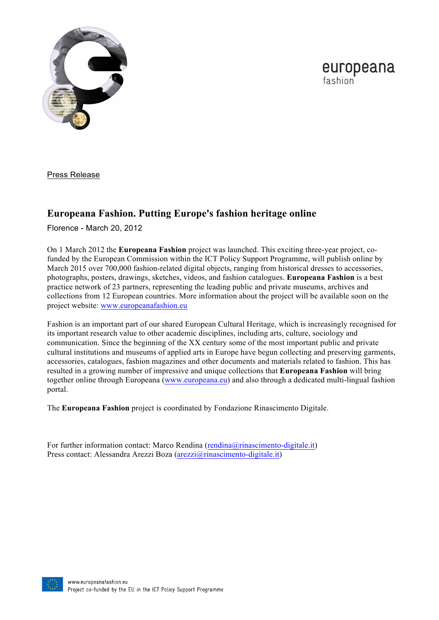

europeana fashion

Press Release

# **Europeana Fashion. Putting Europe's fashion heritage online**

Florence - March 20, 2012

On 1 March 2012 the **Europeana Fashion** project was launched. This exciting three-year project, cofunded by the European Commission within the ICT Policy Support Programme, will publish online by March 2015 over 700,000 fashion-related digital objects, ranging from historical dresses to accessories, photographs, posters, drawings, sketches, videos, and fashion catalogues. **Europeana Fashion** is a best practice network of 23 partners, representing the leading public and private museums, archives and collections from 12 European countries. More information about the project will be available soon on the project website: www.europeanafashion.eu

Fashion is an important part of our shared European Cultural Heritage, which is increasingly recognised for its important research value to other academic disciplines, including arts, culture, sociology and communication. Since the beginning of the XX century some of the most important public and private cultural institutions and museums of applied arts in Europe have begun collecting and preserving garments, accessories, catalogues, fashion magazines and other documents and materials related to fashion. This has resulted in a growing number of impressive and unique collections that **Europeana Fashion** will bring together online through Europeana (www.europeana.eu) and also through a dedicated multi-lingual fashion portal.

The **Europeana Fashion** project is coordinated by Fondazione Rinascimento Digitale.

For further information contact: Marco Rendina (rendina@rinascimento-digitale.it) Press contact: Alessandra Arezzi Boza (arezzi@rinascimento-digitale.it)